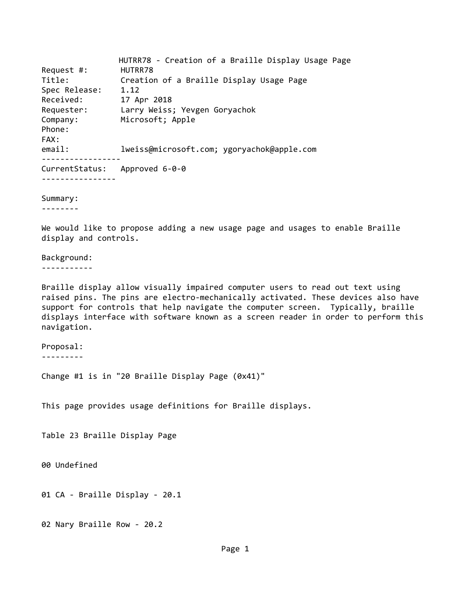HUTRR78 ‐ Creation of a Braille Display Usage Page Request #: HUTRR78 Title: Creation of a Braille Display Usage Page Spec Release: 1.12 Received: 17 Apr 2018 Requester: Larry Weiss; Yevgen Goryachok Company: Microsoft; Apple Phone: FAX: email: lweiss@microsoft.com; ygoryachok@apple.com ‐‐‐‐‐‐‐‐‐‐‐‐‐‐‐‐‐ CurrentStatus: Approved 6‐0‐0 ‐‐‐‐‐‐‐‐‐‐‐‐‐‐‐‐

Summary:

‐‐‐‐‐‐‐‐

We would like to propose adding a new usage page and usages to enable Braille display and controls.

Background: ‐‐‐‐‐‐‐‐‐‐‐

Braille display allow visually impaired computer users to read out text using raised pins. The pins are electro-mechanically activated. These devices also have support for controls that help navigate the computer screen. Typically, braille displays interface with software known as a screen reader in order to perform this navigation.

Proposal: ‐‐‐‐‐‐‐‐‐

Change #1 is in "20 Braille Display Page (0x41)"

This page provides usage definitions for Braille displays.

Table 23 Braille Display Page

00 Undefined

01 CA ‐ Braille Display ‐ 20.1

02 Nary Braille Row ‐ 20.2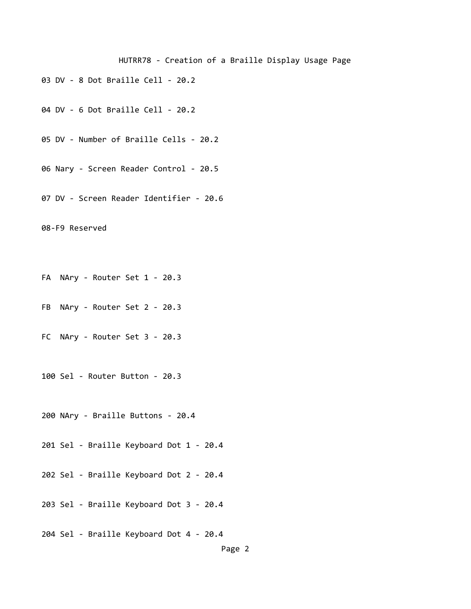- DV ‐ 8 Dot Braille Cell ‐ 20.2
- DV ‐ 6 Dot Braille Cell ‐ 20.2
- DV ‐ Number of Braille Cells ‐ 20.2
- Nary ‐ Screen Reader Control ‐ 20.5
- DV ‐ Screen Reader Identifier ‐ 20.6
- ‐F9 Reserved
- FA NAry Router Set 1 20.3
- FB NAry Router Set 2 20.3
- FC NAry ‐ Router Set 3 ‐ 20.3
- Sel ‐ Router Button ‐ 20.3
- NAry ‐ Braille Buttons ‐ 20.4
- Sel ‐ Braille Keyboard Dot 1 ‐ 20.4
- Sel ‐ Braille Keyboard Dot 2 ‐ 20.4
- Sel ‐ Braille Keyboard Dot 3 ‐ 20.4
- Sel ‐ Braille Keyboard Dot 4 ‐ 20.4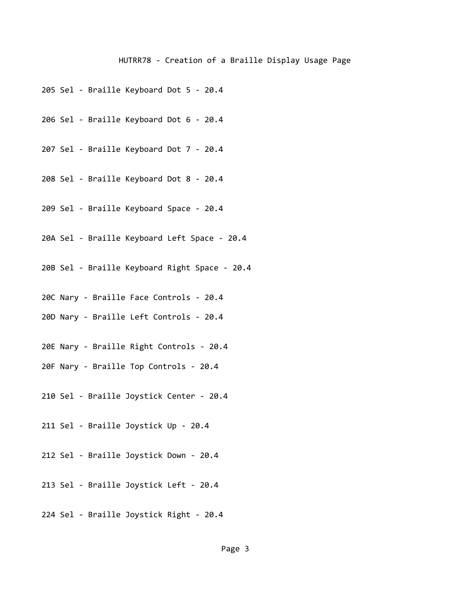- 205 Sel ‐ Braille Keyboard Dot 5 ‐ 20.4
- 206 Sel ‐ Braille Keyboard Dot 6 ‐ 20.4
- 207 Sel ‐ Braille Keyboard Dot 7 ‐ 20.4
- 208 Sel ‐ Braille Keyboard Dot 8 ‐ 20.4
- 209 Sel ‐ Braille Keyboard Space ‐ 20.4
- 20A Sel ‐ Braille Keyboard Left Space ‐ 20.4
- 20B Sel ‐ Braille Keyboard Right Space ‐ 20.4
- 20C Nary ‐ Braille Face Controls ‐ 20.4
- 20D Nary ‐ Braille Left Controls ‐ 20.4
- 20E Nary ‐ Braille Right Controls ‐ 20.4
- 20F Nary ‐ Braille Top Controls ‐ 20.4
- 210 Sel ‐ Braille Joystick Center ‐ 20.4
- 211 Sel ‐ Braille Joystick Up ‐ 20.4
- 212 Sel ‐ Braille Joystick Down ‐ 20.4
- 213 Sel ‐ Braille Joystick Left ‐ 20.4
- 224 Sel ‐ Braille Joystick Right ‐ 20.4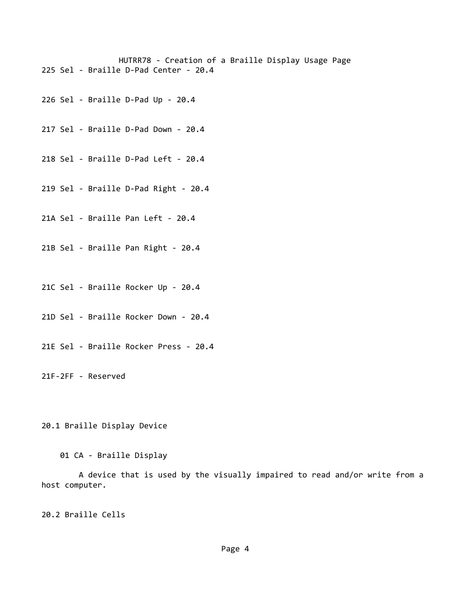HUTRR78 ‐ Creation of a Braille Display Usage Page 225 Sel ‐ Braille D‐Pad Center ‐ 20.4

226 Sel ‐ Braille D‐Pad Up ‐ 20.4

217 Sel ‐ Braille D‐Pad Down ‐ 20.4

218 Sel ‐ Braille D‐Pad Left ‐ 20.4

219 Sel ‐ Braille D‐Pad Right ‐ 20.4

21A Sel ‐ Braille Pan Left ‐ 20.4

21B Sel ‐ Braille Pan Right ‐ 20.4

21C Sel ‐ Braille Rocker Up ‐ 20.4

21D Sel ‐ Braille Rocker Down ‐ 20.4

21E Sel ‐ Braille Rocker Press ‐ 20.4

21F‐2FF ‐ Reserved

20.1 Braille Display Device

01 CA ‐ Braille Display

 A device that is used by the visually impaired to read and/or write from a host computer.

20.2 Braille Cells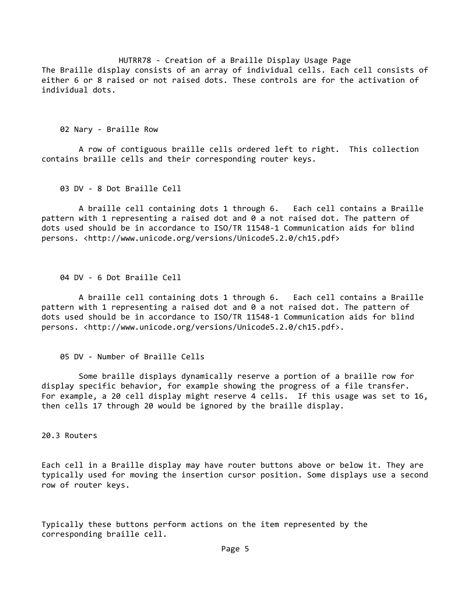HUTRR78 ‐ Creation of a Braille Display Usage Page The Braille display consists of an array of individual cells. Each cell consists of either 6 or 8 raised or not raised dots. These controls are for the activation of individual dots.

02 Nary ‐ Braille Row

 A row of contiguous braille cells ordered left to right. This collection contains braille cells and their corresponding router keys.

03 DV ‐ 8 Dot Braille Cell

 A braille cell containing dots 1 through 6. Each cell contains a Braille pattern with 1 representing a raised dot and 0 a not raised dot. The pattern of dots used should be in accordance to ISO/TR 11548‐1 Communication aids for blind persons. <http://www.unicode.org/versions/Unicode5.2.0/ch15.pdf>

04 DV ‐ 6 Dot Braille Cell

 A braille cell containing dots 1 through 6. Each cell contains a Braille pattern with 1 representing a raised dot and 0 a not raised dot. The pattern of dots used should be in accordance to ISO/TR 11548‐1 Communication aids for blind persons. <http://www.unicode.org/versions/Unicode5.2.0/ch15.pdf>.

05 DV ‐ Number of Braille Cells

 Some braille displays dynamically reserve a portion of a braille row for display specific behavior, for example showing the progress of a file transfer. For example, a 20 cell display might reserve 4 cells. If this usage was set to 16, then cells 17 through 20 would be ignored by the braille display.

20.3 Routers

Each cell in a Braille display may have router buttons above or below it. They are typically used for moving the insertion cursor position. Some displays use a second row of router keys.

Typically these buttons perform actions on the item represented by the corresponding braille cell.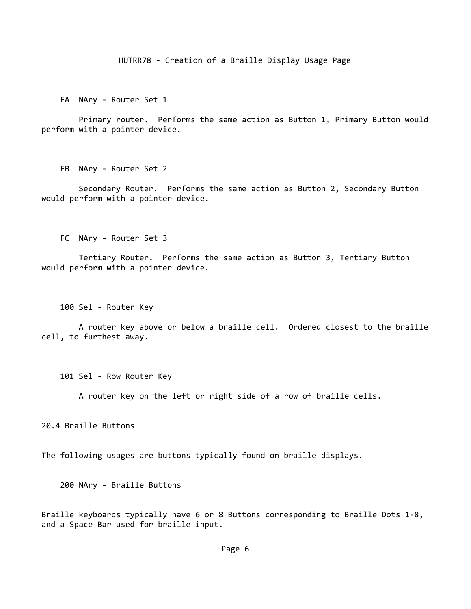FA NAry - Router Set 1

 Primary router. Performs the same action as Button 1, Primary Button would perform with a pointer device.

FB NAry - Router Set 2

 Secondary Router. Performs the same action as Button 2, Secondary Button would perform with a pointer device.

FC NAry ‐ Router Set 3

 Tertiary Router. Performs the same action as Button 3, Tertiary Button would perform with a pointer device.

100 Sel ‐ Router Key

 A router key above or below a braille cell. Ordered closest to the braille cell, to furthest away.

101 Sel ‐ Row Router Key

A router key on the left or right side of a row of braille cells.

20.4 Braille Buttons

The following usages are buttons typically found on braille displays.

200 NAry ‐ Braille Buttons

Braille keyboards typically have 6 or 8 Buttons corresponding to Braille Dots 1‐8, and a Space Bar used for braille input.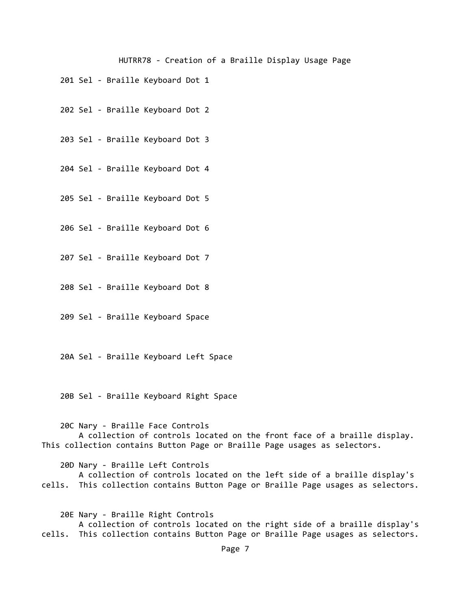- 201 Sel ‐ Braille Keyboard Dot 1
- 202 Sel ‐ Braille Keyboard Dot 2

203 Sel ‐ Braille Keyboard Dot 3

204 Sel ‐ Braille Keyboard Dot 4

205 Sel ‐ Braille Keyboard Dot 5

206 Sel ‐ Braille Keyboard Dot 6

207 Sel ‐ Braille Keyboard Dot 7

208 Sel ‐ Braille Keyboard Dot 8

209 Sel ‐ Braille Keyboard Space

20A Sel ‐ Braille Keyboard Left Space

20B Sel ‐ Braille Keyboard Right Space

20C Nary ‐ Braille Face Controls

 A collection of controls located on the front face of a braille display. This collection contains Button Page or Braille Page usages as selectors.

20D Nary ‐ Braille Left Controls

 A collection of controls located on the left side of a braille display's cells. This collection contains Button Page or Braille Page usages as selectors.

 20E Nary ‐ Braille Right Controls A collection of controls located on the right side of a braille display's cells. This collection contains Button Page or Braille Page usages as selectors.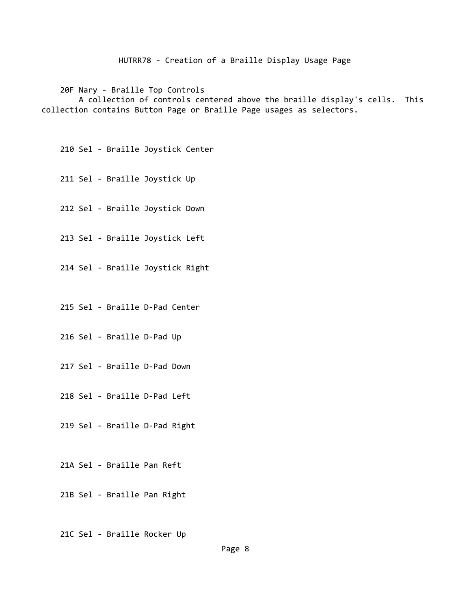20F Nary ‐ Braille Top Controls A collection of controls centered above the braille display's cells. This collection contains Button Page or Braille Page usages as selectors.

210 Sel ‐ Braille Joystick Center

211 Sel ‐ Braille Joystick Up

212 Sel ‐ Braille Joystick Down

213 Sel ‐ Braille Joystick Left

214 Sel ‐ Braille Joystick Right

215 Sel ‐ Braille D‐Pad Center

216 Sel ‐ Braille D‐Pad Up

217 Sel ‐ Braille D‐Pad Down

218 Sel ‐ Braille D‐Pad Left

219 Sel ‐ Braille D‐Pad Right

21A Sel ‐ Braille Pan Reft

21B Sel ‐ Braille Pan Right

21C Sel ‐ Braille Rocker Up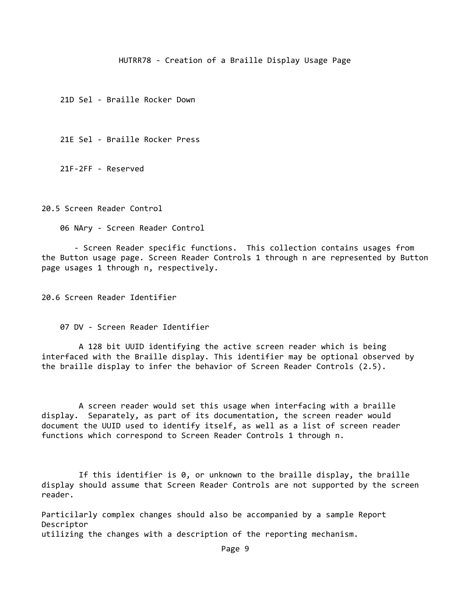21D Sel ‐ Braille Rocker Down

21E Sel ‐ Braille Rocker Press

21F‐2FF ‐ Reserved

20.5 Screen Reader Control

06 NAry ‐ Screen Reader Control

 ‐ Screen Reader specific functions. This collection contains usages from the Button usage page. Screen Reader Controls 1 through n are represented by Button page usages 1 through n, respectively.

20.6 Screen Reader Identifier

07 DV ‐ Screen Reader Identifier

 A 128 bit UUID identifying the active screen reader which is being interfaced with the Braille display. This identifier may be optional observed by the braille display to infer the behavior of Screen Reader Controls (2.5).

 A screen reader would set this usage when interfacing with a braille display. Separately, as part of its documentation, the screen reader would document the UUID used to identify itself, as well as a list of screen reader functions which correspond to Screen Reader Controls 1 through n.

 If this identifier is 0, or unknown to the braille display, the braille display should assume that Screen Reader Controls are not supported by the screen reader.

Particilarly complex changes should also be accompanied by a sample Report Descriptor utilizing the changes with a description of the reporting mechanism.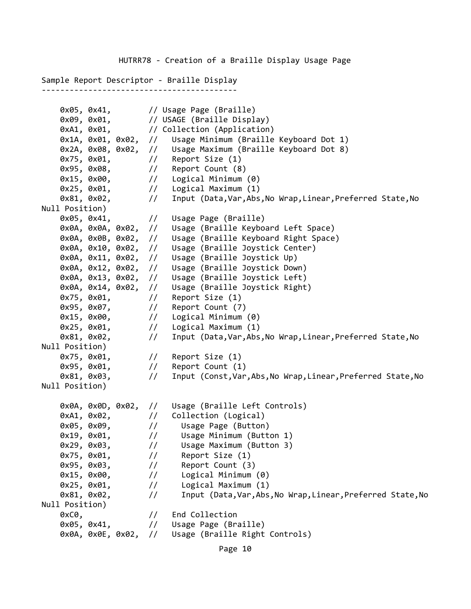Sample Report Descriptor ‐ Braille Display ‐‐‐‐‐‐‐‐‐‐‐‐‐‐‐‐‐‐‐‐‐‐‐‐‐‐‐‐‐‐‐‐‐‐‐‐‐‐‐‐‐‐

```
    0x05, 0x41,        // Usage Page (Braille)
    0x09, 0x01, \frac{1}{10} USAGE (Braille Display)
    0xA1, 0x01, \frac{1}{2} // Collection (Application)
        0x1A, 0x01, 0x02,  //   Usage Minimum (Braille Keyboard Dot 1)
        0x2A, 0x08, 0x02,  //   Usage Maximum (Braille Keyboard Dot 8)
    0x75, 0x01, // Report Size (1)
        0x95, 0x08,        //   Report Count (8)
        0x15, 0x00,        //   Logical Minimum (0)
        0x25, 0x01,        //   Logical Maximum (1)
    0x81, 0x02, // Input (Data,Var,Abs,No Wrap,Linear,Preferred State,No
Null Position)<br>0x05, 0x41,
                       // Usage Page (Braille)
        0x0A, 0x0A, 0x02,  //   Usage (Braille Keyboard Left Space)
        0x0A, 0x0B, 0x02,  //   Usage (Braille Keyboard Right Space)
        0x0A, 0x10, 0x02,  //   Usage (Braille Joystick Center)
        0x0A, 0x11, 0x02,  //   Usage (Braille Joystick Up)
        0x0A, 0x12, 0x02,  //   Usage (Braille Joystick Down)
        0x0A, 0x13, 0x02,  //   Usage (Braille Joystick Left)
        0x0A, 0x14, 0x02,  //   Usage (Braille Joystick Right)
    0x75, 0x01, \frac{1}{1} Report Size (1)
    0x95, 0x07, // Report Count (7)
    0x15, 0x00, \frac{1}{1} Logical Minimum (0)
    0x25, 0x01, // Logical Maximum (1)
    0x81, 0x02, // Input (Data,Var,Abs,No Wrap,Linear,Preferred State,No
Null Position)
    0x75, 0x01, \frac{1}{1} Report Size (1)
    0x95, 0x01, // Report Count (1)
    0x81, 0x03, // Input (Const, Var, Abs, No Wrap, Linear, Preferred State, No
Null Position)
        0x0A, 0x0D, 0x02,  //   Usage (Braille Left Controls)
    0xA1, 0x02, \frac{1}{2} Collection (Logical)
        0x05, 0x09,        //     Usage Page (Button)
    0x19, 0x01, \frac{1}{1} Usage Minimum (Button 1)
        0x29, 0x03,        //     Usage Maximum (Button 3)
        0x75, 0x01,        //     Report Size (1)
    0x95, 0x03, \frac{1}{1} Report Count (3)
    0x15, 0x00, \frac{1}{1} Logical Minimum (0)
        0x25, 0x01,        //     Logical Maximum (1)
    0x81, 0x02, // Input (Data,Var,Abs,No Wrap,Linear,Preferred State,No
Null Position)
    0xC0, \frac{1}{2} End Collection
        0x05, 0x41,        //   Usage Page (Braille)
        0x0A, 0x0E, 0x02,  //   Usage (Braille Right Controls)
```
Page 10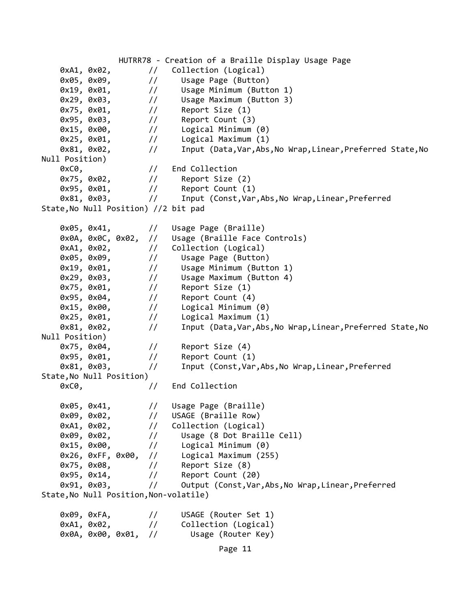HUTRR78 ‐ Creation of a Braille Display Usage Page 0xA1, 0x02,  $\frac{1}{2}$  Collection (Logical) 0x05, 0x09, // Usage Page (Button) 0x19, 0x01, // Usage Minimum (Button 1) 0x29, 0x03, // Usage Maximum (Button 3) 0x75, 0x01,  $\frac{1}{1}$  Report Size (1) 0x95, 0x03, // Report Count (3) // Logical Minimum (0) 0x25, 0x01,  $\frac{1}{1}$  Logical Maximum (1) 0x81, 0x02, // Input (Data,Var,Abs,No Wrap,Linear,Preferred State,No Null Position) 0xC0,  $\frac{1}{2}$  End Collection 0x75, 0x02,  $\frac{1}{1}$  Report Size (2)  $0x95, 0x01,$  // Report Count  $(1)$ 0x81, 0x03, // Input (Const, Var, Abs, No Wrap, Linear, Preferred State,No Null Position) //2 bit pad 0x05, 0x41,  $\frac{1}{1}$  Usage Page (Braille) 0x0A, 0x0C, 0x02, // Usage (Braille Face Controls) 0xA1, 0x02,  $\frac{1}{2}$  Collection (Logical) 0x05, 0x09, // Usage Page (Button) 0x19, 0x01,  $\frac{1}{1}$  Usage Minimum (Button 1) 0x29, 0x03, // Usage Maximum (Button 4) 0x75, 0x01,  $\frac{1}{1}$  Report Size (1) 0x95, 0x04,  $\frac{1}{1}$  Report Count (4) 0x15, 0x00,  $\frac{1}{1}$  Logical Minimum (0) 0x25, 0x01,  $\frac{1}{1}$  Logical Maximum (1) 0x81, 0x02,  $\frac{1}{10}$  Input (Data,Var,Abs,No Wrap,Linear,Preferred State,No Null Position) 0x75, 0x04,  $\frac{1}{10}$  Report Size (4) 0x95, 0x01,  $\frac{1}{1}$  Report Count (1) 0x81, 0x03, // Input (Const,Var,Abs,No Wrap,Linear,Preferred State,No Null Position) 0xC0,  $\frac{1}{2}$  // End Collection 0x05, 0x41, // Usage Page (Braille) 0x09, 0x02, // USAGE (Braille Row) 0xA1, 0x02,  $\frac{1}{2}$  Collection (Logical) 0x09, 0x02, // Usage (8 Dot Braille Cell) 0x15, 0x00,  $\frac{1}{1}$  Logical Minimum (0) 0x26, 0xFF, 0x00, // Logical Maximum (255) 0x75, 0x08,  $\frac{1}{1}$  Report Size (8) 0x95, 0x14,  $\frac{1}{10}$  Report Count (20) 0x91, 0x03, // Output (Const,Var,Abs,No Wrap,Linear,Preferred State, No Null Position, Non-volatile) 0x09, 0xFA,  $\frac{1}{1}$  USAGE (Router Set 1) 0xA1, 0x02,  $\frac{1}{1}$  Collection (Logical) 0x0A, 0x00, 0x01, // Usage (Router Key) Page 11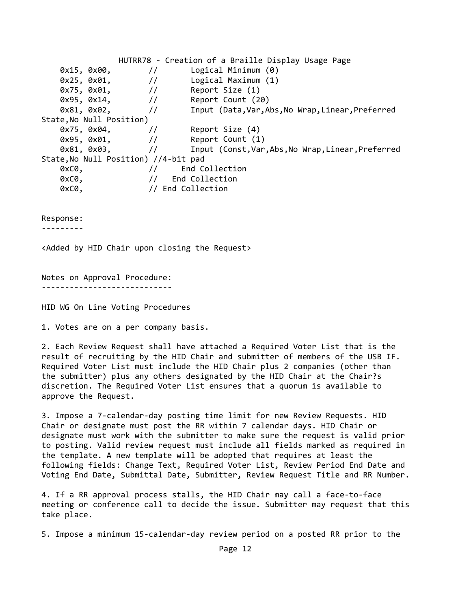HUTRR78 ‐ Creation of a Braille Display Usage Page 0x15, 0x00,  $\frac{1}{1}$  Logical Minimum (0) 0x25, 0x01,  $\frac{1}{1}$  Logical Maximum (1) 0x75, 0x01,  $\frac{1}{1}$  Report Size (1) 0x95, 0x14,  $\frac{1}{10}$  Report Count (20) 0x81, 0x02, // Input (Data,Var,Abs,No Wrap,Linear,Preferred State,No Null Position) 0x75, 0x04,  $\frac{1}{10}$  Report Size (4) 0x95, 0x01,  $\frac{1}{1}$  Report Count (1) 0x81, 0x03,  $\frac{1}{2}$  Input (Const, Var, Abs, No Wrap, Linear, Preferred State,No Null Position) //4‐bit pad axC0,  $\left(\begin{array}{ccc} 0 & 0 \\ 0 & 0 \end{array}\right) / 0$  and Collection End Collection 0xC0,  $\frac{1}{2}$  End Collection 0xC0,  $\frac{1}{2}$  and Collection

Response:

‐‐‐‐‐‐‐‐‐

<Added by HID Chair upon closing the Request>

Notes on Approval Procedure: ‐‐‐‐‐‐‐‐‐‐‐‐‐‐‐‐‐‐‐‐‐‐‐‐‐‐‐‐

HID WG On Line Voting Procedures

1. Votes are on a per company basis.

2. Each Review Request shall have attached a Required Voter List that is the result of recruiting by the HID Chair and submitter of members of the USB IF. Required Voter List must include the HID Chair plus 2 companies (other than the submitter) plus any others designated by the HID Chair at the Chair?s discretion. The Required Voter List ensures that a quorum is available to approve the Request.

3. Impose a 7‐calendar‐day posting time limit for new Review Requests. HID Chair or designate must post the RR within 7 calendar days. HID Chair or designate must work with the submitter to make sure the request is valid prior to posting. Valid review request must include all fields marked as required in the template. A new template will be adopted that requires at least the following fields: Change Text, Required Voter List, Review Period End Date and Voting End Date, Submittal Date, Submitter, Review Request Title and RR Number.

4. If a RR approval process stalls, the HID Chair may call a face‐to‐face meeting or conference call to decide the issue. Submitter may request that this take place.

5. Impose a minimum 15‐calendar‐day review period on a posted RR prior to the